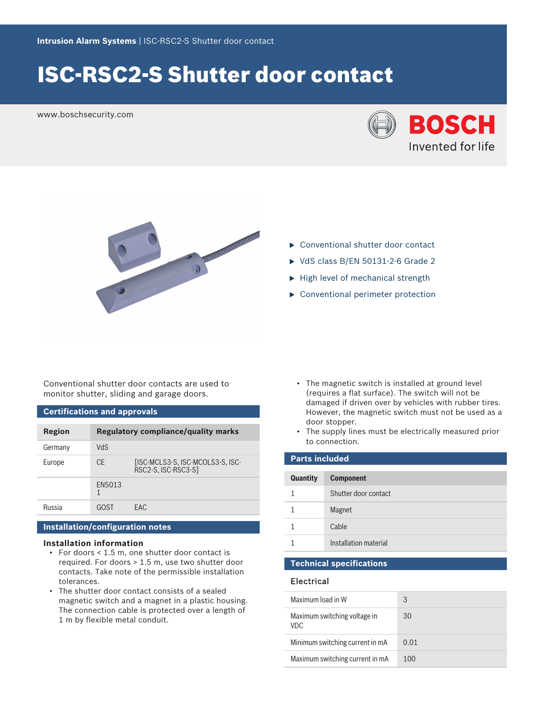# ISC-RSC2-S Shutter door contact

www.boschsecurity.com





- $\blacktriangleright$  Conventional shutter door contact
- $\triangleright$  VdS class B/EN 50131-2-6 Grade 2
- $\blacktriangleright$  High level of mechanical strength
- $\triangleright$  Conventional perimeter protection

Conventional shutter door contacts are used to monitor shutter, sliding and garage doors.

#### **Certifications and approvals**

| Region  | <b>Regulatory compliance/quality marks</b> |                                                         |
|---------|--------------------------------------------|---------------------------------------------------------|
| Germany | <b>ChV</b>                                 |                                                         |
| Europe  | <b>CE</b>                                  | [ISC-MCLS3-S, ISC-MCOLS3-S, ISC-<br>RSC2-S, ISC-RSC3-S] |
|         | EN5013                                     |                                                         |
| Russia  | GOST                                       | FAC.                                                    |

#### **Installation/configuration notes**

#### **Installation information**

- For doors < 1.5 m, one shutter door contact is required. For doors > 1.5 m, use two shutter door contacts. Take note of the permissible installation tolerances.
- The shutter door contact consists of a sealed magnetic switch and a magnet in a plastic housing. The connection cable is protected over a length of 1 m by flexible metal conduit.
- The magnetic switch is installed at ground level (requires a flat surface). The switch will not be damaged if driven over by vehicles with rubber tires. However, the magnetic switch must not be used as a door stopper.
- The supply lines must be electrically measured prior to connection.

| <b>Parts included</b> |                       |  |
|-----------------------|-----------------------|--|
| <b>Quantity</b>       | <b>Component</b>      |  |
| 1                     | Shutter door contact  |  |
|                       | Magnet                |  |
| 1                     | Cable                 |  |
|                       | Installation material |  |

### **Technical specifications**

#### Electrical

| Maximum load in W                    | 3    |
|--------------------------------------|------|
| Maximum switching voltage in<br>VDC. | 30   |
| Minimum switching current in mA      | 0.01 |
| Maximum switching current in mA      | 100  |